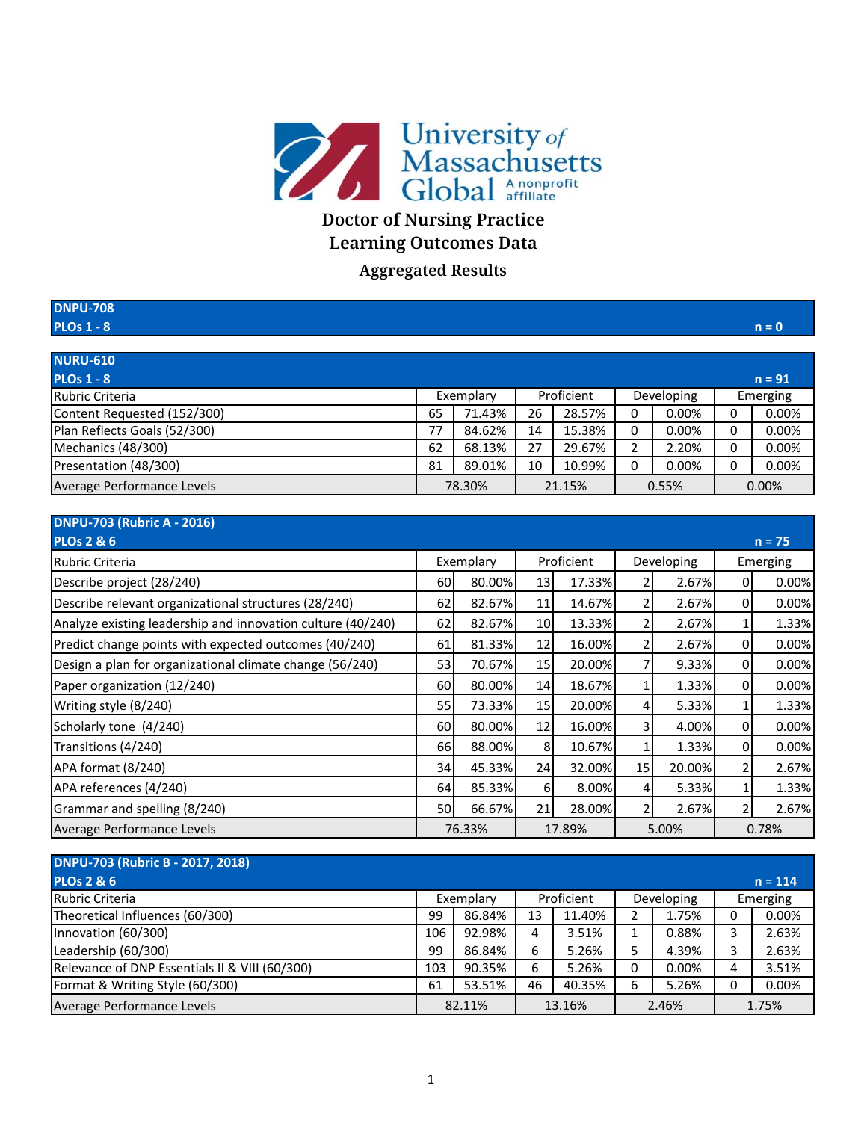

## **Doctor of Nursing Practice Learning Outcomes Data**

**Aggregated Results**

| <b>DNPU-708</b>              |        |           |        |            |          |            |       |          |
|------------------------------|--------|-----------|--------|------------|----------|------------|-------|----------|
| <b>PLOs 1 - 8</b>            |        |           |        |            |          |            |       | $n = 0$  |
|                              |        |           |        |            |          |            |       |          |
| <b>NURU-610</b>              |        |           |        |            |          |            |       |          |
| <b>PLOs 1 - 8</b>            |        |           |        |            |          |            |       | $n = 91$ |
| Rubric Criteria              |        | Exemplary |        | Proficient |          | Developing |       | Emerging |
| Content Requested (152/300)  | 65     | 71.43%    | 26     | 28.57%     | 0        | 0.00%      | 0     | 0.00%    |
| Plan Reflects Goals (52/300) | 77     | 84.62%    | 14     | 15.38%     | 0        | 0.00%      | 0     | 0.00%    |
| Mechanics (48/300)           | 62     | 68.13%    | 27     | 29.67%     |          | 2.20%      | 0     | 0.00%    |
| Presentation (48/300)        | 81     | 89.01%    | 10     | 10.99%     | $\Omega$ | 0.00%      | 0     | 0.00%    |
| Average Performance Levels   | 78.30% |           | 21.15% |            | 0.55%    |            | 0.00% |          |

| <b>DNPU-703 (Rubric A - 2016)</b>                           |           |                  |            |        |                |        |                |          |
|-------------------------------------------------------------|-----------|------------------|------------|--------|----------------|--------|----------------|----------|
| <b>PLOs 2 &amp; 6</b>                                       |           |                  |            |        |                |        |                | $n = 75$ |
| Rubric Criteria                                             |           | Exemplary        | Proficient |        | Developing     |        | Emerging       |          |
| Describe project (28/240)                                   | 60        | 80.00%           | 13         | 17.33% |                | 2.67%  | $\overline{0}$ | 0.00%    |
| Describe relevant organizational structures (28/240)        | 62        | 82.67%           | 11         | 14.67% | 2              | 2.67%  | 0              | 0.00%    |
| Analyze existing leadership and innovation culture (40/240) | 62        | 82.67%           | 10         | 13.33% | 2              | 2.67%  | 1              | 1.33%    |
| Predict change points with expected outcomes (40/240)       | 61        | 81.33%           | 12         | 16.00% | 2              | 2.67%  | $\overline{0}$ | 0.00%    |
| Design a plan for organizational climate change (56/240)    | 53        | 70.67%           | 15         | 20.00% | 7              | 9.33%  | $\overline{0}$ | 0.00%    |
| Paper organization (12/240)                                 | 60        | 80.00%           | 14         | 18.67% |                | 1.33%  | $\overline{0}$ | 0.00%    |
| Writing style (8/240)                                       | 55        | 73.33%l          | 15         | 20.00% | $\overline{4}$ | 5.33%  |                | 1.33%    |
| Scholarly tone (4/240)                                      | 60        | 80.00%           | 12         | 16.00% | 3              | 4.00%  | 0              | 0.00%    |
| Transitions (4/240)                                         | 66        | 88.00%           | 8          | 10.67% |                | 1.33%  | $\overline{0}$ | 0.00%    |
| APA format (8/240)                                          | 34        | 45.33%           | 24         | 32.00% | 15             | 20.00% | 21             | 2.67%    |
| APA references (4/240)                                      | 64        | 85.33%           | 6          | 8.00%  | $\overline{4}$ | 5.33%  |                | 1.33%    |
| Grammar and spelling (8/240)                                | <b>50</b> | 66.67%           | 21         | 28.00% | $\overline{2}$ | 2.67%  | 21             | 2.67%    |
| Average Performance Levels                                  |           | 76.33%<br>17.89% |            |        | 5.00%          |        | 0.78%          |          |

| <b>DNPU-703 (Rubric B - 2017, 2018)</b>        |           |        |            |        |            |          |          |           |
|------------------------------------------------|-----------|--------|------------|--------|------------|----------|----------|-----------|
| <b>PLOs 2 &amp; 6</b>                          |           |        |            |        |            |          |          | $n = 114$ |
| Rubric Criteria                                | Exemplary |        | Proficient |        | Developing |          | Emerging |           |
| Theoretical Influences (60/300)                | 99        | 86.84% | 13         | 11.40% |            | 1.75%    |          | $0.00\%$  |
| Innovation (60/300)                            | 106       | 92.98% | 4          | 3.51%  |            | 0.88%    |          | 2.63%     |
| Leadership (60/300)                            | 99        | 86.84% | 6          | 5.26%  |            | 4.39%    |          | 2.63%     |
| Relevance of DNP Essentials II & VIII (60/300) | 103       | 90.35% | 6          | 5.26%  | 0          | $0.00\%$ |          | 3.51%     |
| Format & Writing Style (60/300)                | 61        | 53.51% | 46         | 40.35% | 6          | 5.26%    |          | 0.00%     |
| Average Performance Levels                     | 82.11%    |        | 13.16%     |        | 2.46%      |          | 1.75%    |           |